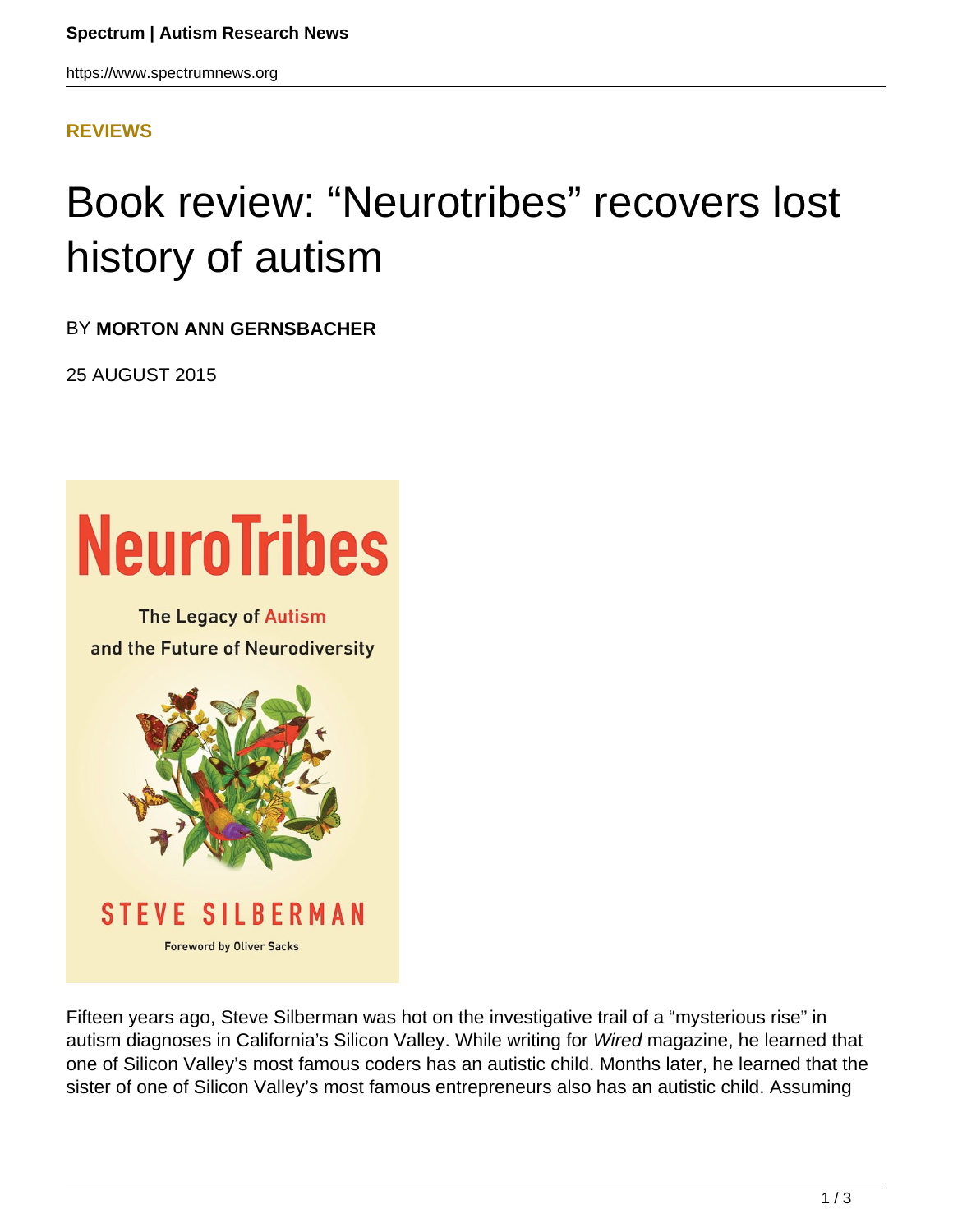https://www.spectrumnews.org

## **[REVIEWS](HTTPS://WWW.SPECTRUMNEWS.ORG/OPINION/REVIEWS/)**

## Book review: "Neurotribes" recovers lost history of autism

BY **MORTON ANN GERNSBACHER**

25 AUGUST 2015



Fifteen years ago, Steve Silberman was hot on the investigative trail of a "mysterious rise" in autism diagnoses in California's Silicon Valley. While writing for Wired magazine, he learned that one of Silicon Valley's most famous coders has an autistic child. Months later, he learned that the sister of one of Silicon Valley's most famous entrepreneurs also has an autistic child. Assuming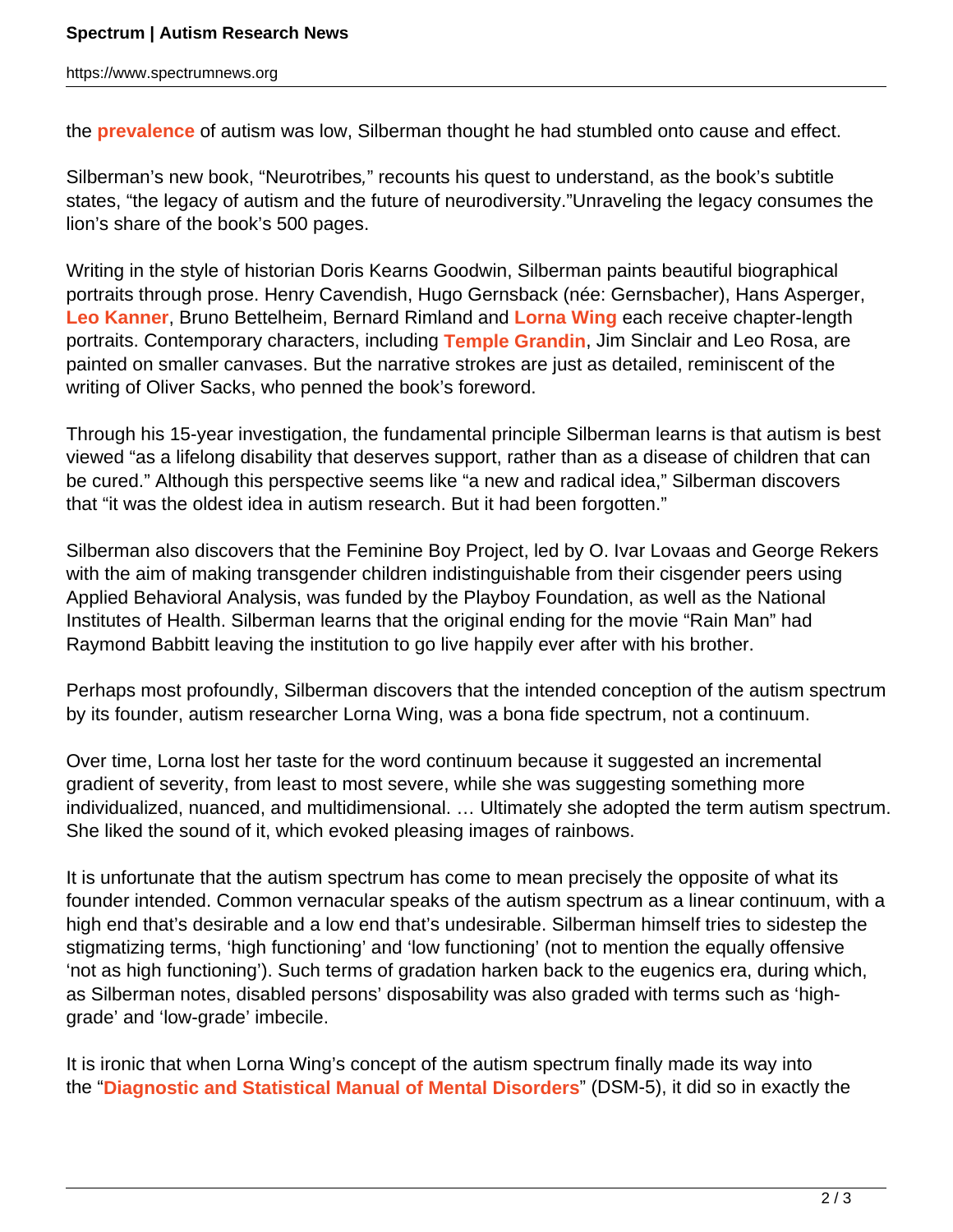the **prevalence** of autism was low, Silberman thought he had stumbled onto cause and effect.

Silberman's new book, "Neurotribes," recounts his quest to understand, as the book's subtitle states, "the legacy of autism and the future of neurodiversity."Unraveling the legacy consumes the lion's share of the book's 500 pages.

Writing in the style of historian Doris Kearns Goodwin, Silberman paints beautiful biographical portraits through prose. Henry Cavendish, Hugo Gernsback (née: Gernsbacher), Hans Asperger, **Leo Kanner**, Bruno Bettelheim, Bernard Rimland and **Lorna Wing** each receive chapter-length portraits. Contemporary characters, including **Temple Grandin**, Jim Sinclair and Leo Rosa, are painted on smaller canvases. But the narrative strokes are just as detailed, reminiscent of the writing of Oliver Sacks, who penned the book's foreword.

Through his 15-year investigation, the fundamental principle Silberman learns is that autism is best viewed "as a lifelong disability that deserves support, rather than as a disease of children that can be cured." Although this perspective seems like "a new and radical idea," Silberman discovers that "it was the oldest idea in autism research. But it had been forgotten."

Silberman also discovers that the Feminine Boy Project, led by O. Ivar Lovaas and George Rekers with the aim of making transgender children indistinguishable from their cisgender peers using Applied Behavioral Analysis, was funded by the Playboy Foundation, as well as the National Institutes of Health. Silberman learns that the original ending for the movie "Rain Man" had Raymond Babbitt leaving the institution to go live happily ever after with his brother.

Perhaps most profoundly, Silberman discovers that the intended conception of the autism spectrum by its founder, autism researcher Lorna Wing, was a bona fide spectrum, not a continuum.

Over time, Lorna lost her taste for the word continuum because it suggested an incremental gradient of severity, from least to most severe, while she was suggesting something more individualized, nuanced, and multidimensional. … Ultimately she adopted the term autism spectrum. She liked the sound of it, which evoked pleasing images of rainbows.

It is unfortunate that the autism spectrum has come to mean precisely the opposite of what its founder intended. Common vernacular speaks of the autism spectrum as a linear continuum, with a high end that's desirable and a low end that's undesirable. Silberman himself tries to sidestep the stigmatizing terms, 'high functioning' and 'low functioning' (not to mention the equally offensive 'not as high functioning'). Such terms of gradation harken back to the eugenics era, during which, as Silberman notes, disabled persons' disposability was also graded with terms such as 'highgrade' and 'low-grade' imbecile.

It is ironic that when Lorna Wing's concept of the autism spectrum finally made its way into the "**Diagnostic and Statistical Manual of Mental Disorders**" (DSM-5), it did so in exactly the